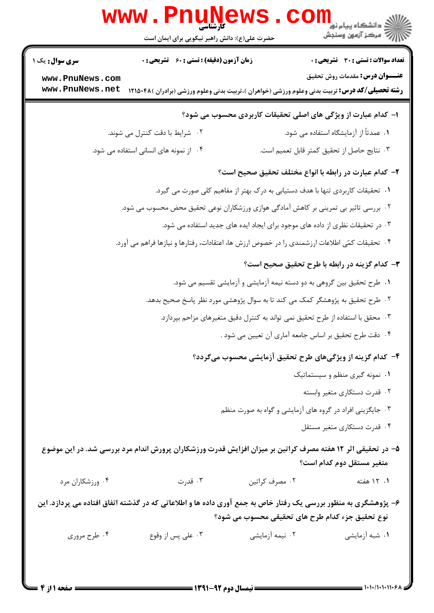|                                                                                                                                                                   | <b>WWW.PNUNews</b><br>حضرت علی(ع): دانش راهبر نیکویی برای ایمان است                                        |                                                                                 | ر دانشڪاه پيام نور <mark>−</mark><br>// مرکز آزمون وسنڊش |  |  |
|-------------------------------------------------------------------------------------------------------------------------------------------------------------------|------------------------------------------------------------------------------------------------------------|---------------------------------------------------------------------------------|----------------------------------------------------------|--|--|
| <b>سری سوال :</b> یک ۱                                                                                                                                            | <b>زمان آزمون (دقیقه) : تستی : 60 ٪ تشریحی : 0</b>                                                         |                                                                                 | تعداد سوالات : تستي : 30 - تشريحي : 0                    |  |  |
| www.PnuNews.com<br>www.PnuNews.net                                                                                                                                | <b>رشته تحصیلی/کد درس:</b> تربیت بدنی وعلوم ورزشی (خواهران )،تربیت بدنی وعلوم ورزشی (برادران )۴۸۵۰۴۸ (     |                                                                                 | <b>عنـــوان درس:</b> مقدمات روش تحقیق                    |  |  |
| ا– کدام عبارت از ویژگی های اصلی تحقیقات کاربردی محسوب می شود؟                                                                                                     |                                                                                                            |                                                                                 |                                                          |  |  |
|                                                                                                                                                                   | ۰۲ شرایط با دقت کنترل می شوند.                                                                             |                                                                                 | ۰۱ عمدتاً از آزمایشگاه استفاده می شود.                   |  |  |
|                                                                                                                                                                   | ۰۴ از نمونه های انسانی استفاده می شود.                                                                     |                                                                                 | ۰۳ نتایج حاصل از تحقیق کمتر قابل تعمیم است.              |  |  |
|                                                                                                                                                                   |                                                                                                            | ۲– کدام عبارت در رابطه با انواع مختلف تحقیق صحیح است؟                           |                                                          |  |  |
|                                                                                                                                                                   | ۰۱ تحقیقات کاربردی تنها با هدف دستیابی به درک بهتر از مفاهیم کلی صورت می گیرد.                             |                                                                                 |                                                          |  |  |
|                                                                                                                                                                   | ۰۲ بررسی تاثیر بی تمرینی بر کاهش آمادگی هوازی ورزشکاران نوعی تحقیق محض محسوب می شود.                       |                                                                                 |                                                          |  |  |
| ۰۳ در تحقیقات نظری از داده های موجود برای ایجاد ایده های جدید استفاده می شود.                                                                                     |                                                                                                            |                                                                                 |                                                          |  |  |
|                                                                                                                                                                   | ۰۴ تحقیقات کمّی اطلاعات ارزشمندی را در خصوص ارزش ها، اعتقادات، رفتارها و نیازها فراهم می آورد.             |                                                                                 |                                                          |  |  |
|                                                                                                                                                                   |                                                                                                            |                                                                                 | ۳- کدام گزینه در رابطه با طرح تحقیق صحیح است؟            |  |  |
|                                                                                                                                                                   |                                                                                                            | ۰۱ طرح تحقیق بین گروهی به دو دسته نیمه آزمایشی و آزمایشی تقسیم می شود.          |                                                          |  |  |
|                                                                                                                                                                   | ۰۲ طرح تحقیق به پژوهشگر کمک می کند تا به سوال پژوهشی مورد نظر پاسخ صحیح بدهد.                              |                                                                                 |                                                          |  |  |
|                                                                                                                                                                   |                                                                                                            | ۰۳ محقق با استفاده از طرح تحقیق نمی تواند به کنترل دقیق متغیرهای مزاحم بپردازد. |                                                          |  |  |
| ۰۴ دقت طرح تحقیق بر اساس جامعه آماری آن تعیین می شود .                                                                                                            |                                                                                                            |                                                                                 |                                                          |  |  |
| ۴- کدام گزینه از ویژگیهای طرح تحقیق آزمایشی محسوب میگردد؟                                                                                                         |                                                                                                            |                                                                                 |                                                          |  |  |
| ۰۱ نمونه گیری منظم و سیستماتیک                                                                                                                                    |                                                                                                            |                                                                                 |                                                          |  |  |
| ۰۲ قدرت دستکاری متغیر وابسته                                                                                                                                      |                                                                                                            |                                                                                 |                                                          |  |  |
| ۰۳ جایگزینی افراد در گروه های آزمایشی و گواه به صورت منظم                                                                                                         |                                                                                                            |                                                                                 |                                                          |  |  |
|                                                                                                                                                                   |                                                                                                            |                                                                                 | ۰۴ قدرت دستکاری متغیر مستقل                              |  |  |
|                                                                                                                                                                   | ۵– در تحقیقی اثر ۱۲ هفته مصرف کراتین بر میزان افزایش قدرت ورزشکاران پرورش اندام مرد بررسی شد. در این موضوع |                                                                                 | متغیر مستقل دوم کدام است؟                                |  |  |
| ۰۴ ورزشکاران مرد                                                                                                                                                  | ۰۳ قدرت                                                                                                    | ۰۲ مصرف کراتین                                                                  | ۰۱ ۱۲ هفته                                               |  |  |
| ۶– پژوهشگری به منظور بررسی یک رفتار خاص به جمع آوری داده ها و اطلاعاتی که در گذشته اتفاق افتاده می پردازد. این<br>نوع تحقیق جزء کدام طرح های تحقیقی محسوب می شود؟ |                                                                                                            |                                                                                 |                                                          |  |  |
| ۰۴ طرح مروری                                                                                                                                                      | ۰۳ علي پس از وقوع                                                                                          | ۰۲ نیمه آزمایشی                                                                 | ۰۱ شبه آزمایشی                                           |  |  |
|                                                                                                                                                                   |                                                                                                            |                                                                                 |                                                          |  |  |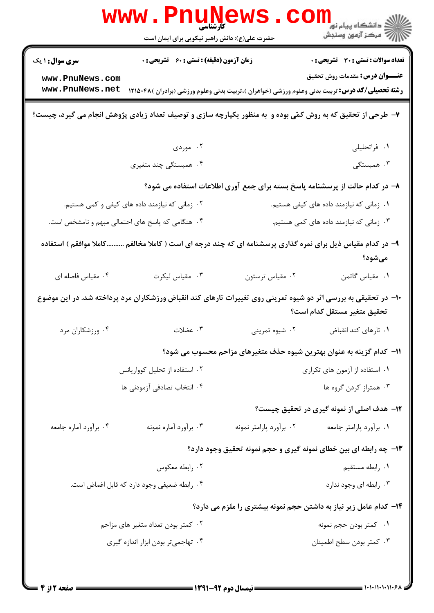|                                                                                                                                               | <b>www.Pnune</b><br>حضرت علی(ع): دانش راهبر نیکویی برای ایمان است |                                          | <sup>ال</sup> ڪ دانشگاه پيام نور <sup>دا</sup><br>ا∛ مرکز آزمون وسنڊش                                  |  |
|-----------------------------------------------------------------------------------------------------------------------------------------------|-------------------------------------------------------------------|------------------------------------------|--------------------------------------------------------------------------------------------------------|--|
| <b>سری سوال : ۱ یک</b>                                                                                                                        | <b>زمان آزمون (دقیقه) : تستی : 60 ٪ تشریحی : 0</b>                |                                          | <b>تعداد سوالات : تستی : 30 ٪ تشریحی : 0</b>                                                           |  |
| www.PnuNews.com                                                                                                                               |                                                                   |                                          | <b>عنـــوان درس:</b> مقدمات روش تحقیق                                                                  |  |
| www.PnuNews.net                                                                                                                               |                                                                   |                                          | <b>رشته تحصیلی/کد درس:</b> تربیت بدنی وعلوم ورزشی (خواهران )،تربیت بدنی وعلوم ورزشی (برادران )۴۸۵۰۴۸ ( |  |
| ۷- طرحی از تحقیق که به روش کمّی بوده و ً به منظور یکپارچه سازی و توصیف تعداد زیادی پژوهش انجام می گیرد، چیست؟                                 |                                                                   |                                          |                                                                                                        |  |
|                                                                                                                                               | ۰۲ موردی                                                          |                                          | ۰۱ فراتحلیلی                                                                                           |  |
|                                                                                                                                               | ۴. همبستگی چند متغیری                                             |                                          | ۴. همبستگی                                                                                             |  |
| ۸– در کدام حالت از پرسشنامه پاسخ بسته برای جمع آوری اطلاعات استفاده می شود؟                                                                   |                                                                   |                                          |                                                                                                        |  |
| ۰۲ زمانی که نیازمند داده های کیفی و کمی هستیم.                                                                                                |                                                                   | ۰۱ زمانی که نیازمند داده های کیفی هستیم. |                                                                                                        |  |
| ۰۴ هنگامی که پاسخ های احتمالی مبهم و نامشخص است.                                                                                              |                                                                   | ۰۳ زمانی که نیازمند داده های کمی هستیم.  |                                                                                                        |  |
| ۹- در کدام مقیاس ذیل برای نمره گذاری پرسشنامه ای که چند درجه ای است ( کاملا مخالفم کاملا موافقم ) استفاده<br>مىشود؟                           |                                                                   |                                          |                                                                                                        |  |
| ۰۴ مقیاس فاصله ای                                                                                                                             | ۰۳ مقیاس لیکرت                                                    | ۰۲ مقیاس ترستون                          | ٠١. مقياس گاتمن                                                                                        |  |
| ∙۱− در تحقیقی به بررسی اثر دو شیوه تمرینی روی تغییرات تارهای کند انقباض ورزشکاران مرد پرداخته شد. در این موضوع<br>تحقيق متغير مستقل كدام است؟ |                                                                   |                                          |                                                                                                        |  |
| ۰۴ ورزشکاران مرد                                                                                                                              | ۰۳ عضلات                                                          | ۰۲ شیوه تمرینی                           | ٠١ تارهاي كند انقباض                                                                                   |  |
|                                                                                                                                               |                                                                   |                                          | 11- کدام گزینه به عنوان بهترین شیوه حذف متغیرهای مزاحم محسوب می شود؟                                   |  |
|                                                                                                                                               | ۰۲ استفاده از تحلیل کوواریانس                                     | ۰۱ استفاده از آزمون های تکراری           |                                                                                                        |  |
| ۰۴ انتخاب تصادفي آزمودني ها                                                                                                                   |                                                                   | ۰۳ همتراز کردن گروه ها                   |                                                                                                        |  |
|                                                                                                                                               |                                                                   |                                          | <b>۱۲</b> - هدف اصلی از نمونه گیری در تحقیق چیست؟                                                      |  |
| ۰۴ برأورد أماره جامعه                                                                                                                         | ۰۳ برآورد آماره نمونه                                             | ۰۲ برآورد پارامتر نمونه                  | ٠١ برأورد پارامتر جامعه                                                                                |  |
|                                                                                                                                               |                                                                   |                                          | ۱۳- چه رابطه ای بین خطای نمونه گیری و حجم نمونه تحقیق وجود دارد؟                                       |  |
|                                                                                                                                               | ۰۲ رابطه معکوس                                                    | ۰۱ رابطه مستقيم                          |                                                                                                        |  |
| ۰۴ رابطه ضعیفی وجود دارد که قابل اغماض است.                                                                                                   |                                                                   | ۰۳ رابطه ای وجود ندارد                   |                                                                                                        |  |
| ۱۴- کدام عامل زیر نیاز به داشتن حجم نمونه بیشتری را ملزم می دارد؟                                                                             |                                                                   |                                          |                                                                                                        |  |
| ۰۲ کمتر بودن تعداد متغیر های مزاحم                                                                                                            |                                                                   | ۰۱ كمتر بودن حجم نمونه                   |                                                                                                        |  |
| ۰۴ تهاجمیتر بودن ابزار اندازه گیری                                                                                                            |                                                                   |                                          | ۰۳ کمتر بودن سطح اطمينان                                                                               |  |
|                                                                                                                                               |                                                                   |                                          |                                                                                                        |  |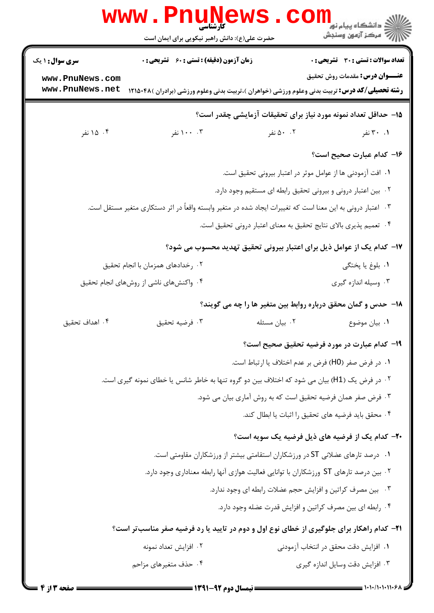|                                                                                        | WWW . PN<br><b>کارشناسی</b><br>حضرت علی(ع): دانش راهبر نیکویی برای ایمان است                                |               | ڪ دانشڪاه پيا <sub>م</sub> نور<br><mark>ر</mark> ∕ مرڪز آزمون وسنڊش            |  |
|----------------------------------------------------------------------------------------|-------------------------------------------------------------------------------------------------------------|---------------|--------------------------------------------------------------------------------|--|
| <b>سری سوال :</b> ۱ یک                                                                 | <b>زمان آزمون (دقیقه) : تستی : 60 ٪ تشریحی : 0</b>                                                          |               | <b>تعداد سوالات : تستی : 30 - تشریحی : 0</b>                                   |  |
| www.PnuNews.com<br>www.PnuNews.net                                                     | <b>رشته تحصیلی/کد درس:</b> تربیت بدنی وعلوم ورزشی (خواهران )،تربیت بدنی وعلوم ورزشی (برادران )۱۲۱۵۰۴۸       |               | <b>عنـــوان درس:</b> مقدمات روش تحقیق                                          |  |
|                                                                                        |                                                                                                             |               | ۱۵– حداقل تعداد نمونه مورد نیاز برای تحقیقات آزمایشی چقدر است؟                 |  |
| ۰۴ نفر                                                                                 | ۰۰ ۱۰۰ نفر                                                                                                  | ۰۰ نفر        | ۰۱ ۳۰ نفر                                                                      |  |
|                                                                                        |                                                                                                             |               |                                                                                |  |
|                                                                                        |                                                                                                             |               | ۱۶– کدام عبارت صحیح است؟                                                       |  |
|                                                                                        |                                                                                                             |               | ٠١. افت آزمودني ها از عوامل موثر در اعتبار بيروني تحقيق است.                   |  |
|                                                                                        |                                                                                                             |               | ۰۲ بین اعتبار درونی و بیرونی تحقیق رابطه ای مستقیم وجود دارد.                  |  |
|                                                                                        | ۰۳ اعتبار درونی به این معنا است که تغییرات ایجاد شده در متغیر وابسته واقعاً در اثر دستکاری متغیر مستقل است. |               |                                                                                |  |
|                                                                                        |                                                                                                             |               | ۰۴ تعميم پذيري بالاي نتايج تحقيق به معناي اعتبار دروني تحقيق است.              |  |
|                                                                                        |                                                                                                             |               | ۱۷– کدام یک از عوامل ذیل برای اعتبار بیرونی تحقیق تهدید محسوب می شود؟          |  |
|                                                                                        | ۰۲ رخدادهای همزمان با انجام تحقیق                                                                           |               | ۰۱ بلوغ یا پختگی                                                               |  |
| ۰۳ وسیله اندازه گیری<br>۰۴ واکنشهای ناشی از روشهای انجام تحقیق                         |                                                                                                             |               |                                                                                |  |
|                                                                                        |                                                                                                             |               | <b>۱۸</b> - حدس و گمان محقق درباره روابط بین متغیر ها را چه می گویند؟          |  |
| ۰۴ اهداف تحقيق                                                                         | ۰۳ فرضيه تحقيق                                                                                              | ٠٢ بيان مسئله | ۰۱ بیان موضوع                                                                  |  |
|                                                                                        |                                                                                                             |               | ۱۹– کدام عبارت در مورد فرضیه تحقیق صحیح است؟                                   |  |
|                                                                                        |                                                                                                             |               | ۰۱ در فرض صفر (H0) فرض بر عدم اختلاف یا ارتباط است.                            |  |
|                                                                                        | ۰۲ در فرض یک (H1) بیان می شود که اختلاف بین دو گروه تنها به خاطر شانس یا خطای نمونه گیری است.               |               |                                                                                |  |
| ۰۳ فرض صفر همان فرضیه تحقیق است که به روش آماری بیان می شود.                           |                                                                                                             |               |                                                                                |  |
|                                                                                        |                                                                                                             |               | ۰۴ محقق بايد فرضيه هاى تحقيق را اثبات يا ابطال كند.                            |  |
|                                                                                        |                                                                                                             |               | ۲۰- کدام یک از فرضیه های ذیل فرضیه یک سویه است؟                                |  |
|                                                                                        |                                                                                                             |               | ۰۱ درصد تارهای عضلانی ST در ورزشکاران استقامتی بیشتر از ورزشکاران مقاومتی است. |  |
| ۰۲ بین درصد تارهای ST ورزشکاران با توانایی فعالیت هوازی آنها رابطه معناداری وجود دارد. |                                                                                                             |               |                                                                                |  |
|                                                                                        |                                                                                                             |               | ۰۳ بین مصرف کراتین و افزایش حجم عضلات رابطه ای وجود ندارد.                     |  |
|                                                                                        |                                                                                                             |               | ۰۴ رابطه ای بین مصرف کراتین و افزایش قدرت عضله وجود دارد.                      |  |
|                                                                                        | <b>۲۱</b> - کدام راهکار برای جلوگیری از خطای نوع اول و دوم در تایید یا رد فرضیه صفر مناسبتر است؟            |               |                                                                                |  |
|                                                                                        | ۰۲ افزایش تعداد نمونه                                                                                       |               | ٠١. افزايش دقت محقق در انتخاب آزمودني                                          |  |
|                                                                                        | ۰۴ حذف متغیرهای مزاحم                                                                                       |               | ۰۳ افزایش دقت وسایل اندازه گیری                                                |  |
|                                                                                        |                                                                                                             |               |                                                                                |  |

 $= 1.1 - (1.111.5$